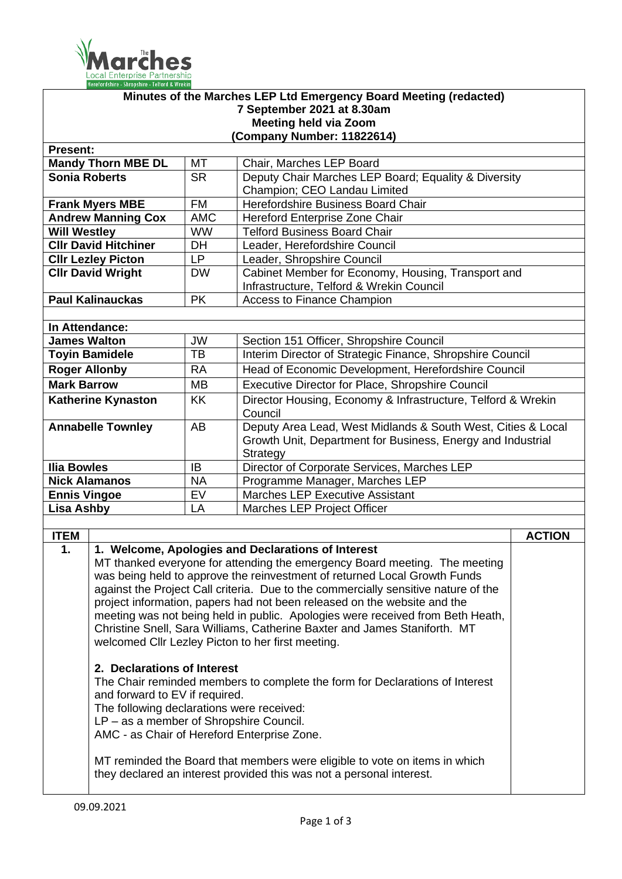

| Minutes of the Marches LEP Ltd Emergency Board Meeting (redacted) |                                                                                                                                                    |                        |                                                                                                                                  |               |  |  |  |
|-------------------------------------------------------------------|----------------------------------------------------------------------------------------------------------------------------------------------------|------------------------|----------------------------------------------------------------------------------------------------------------------------------|---------------|--|--|--|
| 7 September 2021 at 8.30am<br><b>Meeting held via Zoom</b>        |                                                                                                                                                    |                        |                                                                                                                                  |               |  |  |  |
|                                                                   | Company Number: 11822614)                                                                                                                          |                        |                                                                                                                                  |               |  |  |  |
| <b>Present:</b>                                                   |                                                                                                                                                    |                        |                                                                                                                                  |               |  |  |  |
|                                                                   | <b>Mandy Thorn MBE DL</b>                                                                                                                          | МT                     | Chair, Marches LEP Board                                                                                                         |               |  |  |  |
| <b>Sonia Roberts</b>                                              |                                                                                                                                                    | <b>SR</b>              | Deputy Chair Marches LEP Board; Equality & Diversity                                                                             |               |  |  |  |
|                                                                   |                                                                                                                                                    |                        | Champion; CEO Landau Limited                                                                                                     |               |  |  |  |
| <b>Frank Myers MBE</b>                                            |                                                                                                                                                    | <b>FM</b>              | Herefordshire Business Board Chair                                                                                               |               |  |  |  |
| <b>Andrew Manning Cox</b>                                         |                                                                                                                                                    | <b>AMC</b>             | Hereford Enterprise Zone Chair                                                                                                   |               |  |  |  |
| <b>Will Westley</b>                                               |                                                                                                                                                    | <b>WW</b>              | <b>Telford Business Board Chair</b>                                                                                              |               |  |  |  |
| <b>CIIr David Hitchiner</b>                                       |                                                                                                                                                    | <b>DH</b>              | Leader, Herefordshire Council                                                                                                    |               |  |  |  |
| <b>CIIr Lezley Picton</b>                                         |                                                                                                                                                    | LP.                    | Leader, Shropshire Council                                                                                                       |               |  |  |  |
| <b>CIIr David Wright</b>                                          |                                                                                                                                                    | <b>DW</b>              | Cabinet Member for Economy, Housing, Transport and                                                                               |               |  |  |  |
|                                                                   |                                                                                                                                                    |                        | Infrastructure, Telford & Wrekin Council                                                                                         |               |  |  |  |
|                                                                   | <b>Paul Kalinauckas</b>                                                                                                                            | <b>PK</b>              | <b>Access to Finance Champion</b>                                                                                                |               |  |  |  |
|                                                                   |                                                                                                                                                    |                        |                                                                                                                                  |               |  |  |  |
|                                                                   | In Attendance:                                                                                                                                     |                        |                                                                                                                                  |               |  |  |  |
| <b>James Walton</b>                                               |                                                                                                                                                    | <b>JW</b><br><b>TB</b> | Section 151 Officer, Shropshire Council                                                                                          |               |  |  |  |
|                                                                   | <b>Toyin Bamidele</b>                                                                                                                              |                        | Interim Director of Strategic Finance, Shropshire Council                                                                        |               |  |  |  |
| <b>Roger Allonby</b>                                              |                                                                                                                                                    | <b>RA</b>              | Head of Economic Development, Herefordshire Council                                                                              |               |  |  |  |
| <b>Mark Barrow</b>                                                |                                                                                                                                                    | <b>MB</b>              | Executive Director for Place, Shropshire Council                                                                                 |               |  |  |  |
| <b>Katherine Kynaston</b>                                         |                                                                                                                                                    | <b>KK</b>              | Director Housing, Economy & Infrastructure, Telford & Wrekin<br>Council                                                          |               |  |  |  |
|                                                                   | <b>Annabelle Townley</b>                                                                                                                           | AB                     | Deputy Area Lead, West Midlands & South West, Cities & Local                                                                     |               |  |  |  |
|                                                                   |                                                                                                                                                    |                        | Growth Unit, Department for Business, Energy and Industrial                                                                      |               |  |  |  |
|                                                                   |                                                                                                                                                    |                        | Strategy                                                                                                                         |               |  |  |  |
| <b>Ilia Bowles</b>                                                |                                                                                                                                                    | IB                     | Director of Corporate Services, Marches LEP                                                                                      |               |  |  |  |
| <b>Nick Alamanos</b>                                              |                                                                                                                                                    | <b>NA</b>              | Programme Manager, Marches LEP                                                                                                   |               |  |  |  |
| <b>Ennis Vingoe</b>                                               |                                                                                                                                                    | $\overline{EV}$        | Marches LEP Executive Assistant                                                                                                  |               |  |  |  |
| <b>Lisa Ashby</b><br>LA<br>Marches LEP Project Officer            |                                                                                                                                                    |                        |                                                                                                                                  |               |  |  |  |
|                                                                   |                                                                                                                                                    |                        |                                                                                                                                  |               |  |  |  |
| <b>ITEM</b>                                                       |                                                                                                                                                    |                        |                                                                                                                                  | <b>ACTION</b> |  |  |  |
| $\mathbf 1$ .                                                     |                                                                                                                                                    |                        | 1. Welcome, Apologies and Declarations of Interest<br>MT thanked everyone for attending the emergency Board meeting. The meeting |               |  |  |  |
|                                                                   |                                                                                                                                                    |                        | was being held to approve the reinvestment of returned Local Growth Funds                                                        |               |  |  |  |
|                                                                   |                                                                                                                                                    |                        | against the Project Call criteria. Due to the commercially sensitive nature of the                                               |               |  |  |  |
|                                                                   |                                                                                                                                                    |                        | project information, papers had not been released on the website and the                                                         |               |  |  |  |
|                                                                   |                                                                                                                                                    |                        | meeting was not being held in public. Apologies were received from Beth Heath,                                                   |               |  |  |  |
|                                                                   |                                                                                                                                                    |                        | Christine Snell, Sara Williams, Catherine Baxter and James Staniforth. MT                                                        |               |  |  |  |
|                                                                   |                                                                                                                                                    |                        | welcomed Cllr Lezley Picton to her first meeting.                                                                                |               |  |  |  |
|                                                                   | 2. Declarations of Interest                                                                                                                        |                        |                                                                                                                                  |               |  |  |  |
|                                                                   | The Chair reminded members to complete the form for Declarations of Interest                                                                       |                        |                                                                                                                                  |               |  |  |  |
|                                                                   | and forward to EV if required.                                                                                                                     |                        |                                                                                                                                  |               |  |  |  |
| The following declarations were received:                         |                                                                                                                                                    |                        |                                                                                                                                  |               |  |  |  |
| LP – as a member of Shropshire Council.                           |                                                                                                                                                    |                        |                                                                                                                                  |               |  |  |  |
| AMC - as Chair of Hereford Enterprise Zone.                       |                                                                                                                                                    |                        |                                                                                                                                  |               |  |  |  |
|                                                                   |                                                                                                                                                    |                        |                                                                                                                                  |               |  |  |  |
|                                                                   | MT reminded the Board that members were eligible to vote on items in which<br>they declared an interest provided this was not a personal interest. |                        |                                                                                                                                  |               |  |  |  |
|                                                                   |                                                                                                                                                    |                        |                                                                                                                                  |               |  |  |  |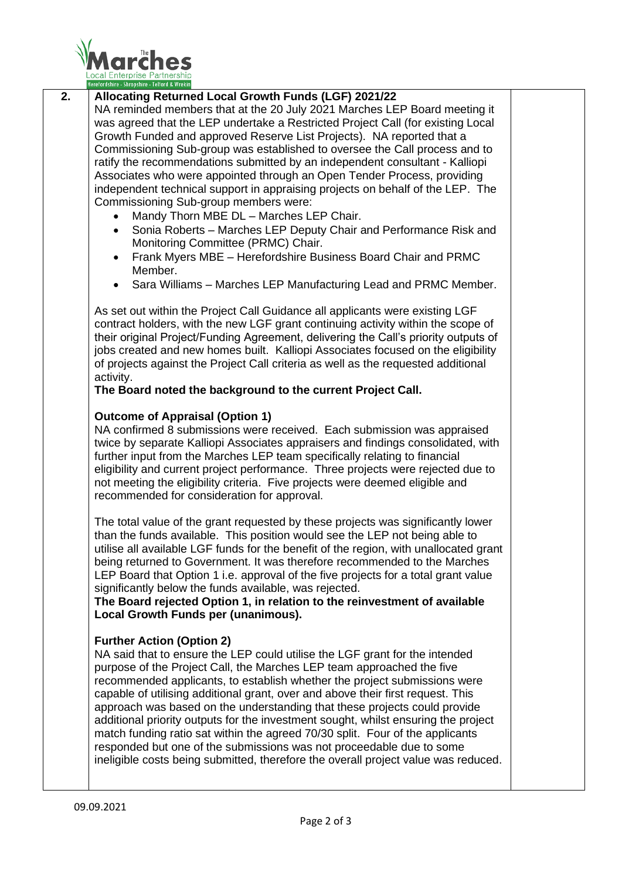

## **2. Allocating Returned Local Growth Funds (LGF) 2021/22**

NA reminded members that at the 20 July 2021 Marches LEP Board meeting it was agreed that the LEP undertake a Restricted Project Call (for existing Local Growth Funded and approved Reserve List Projects). NA reported that a Commissioning Sub-group was established to oversee the Call process and to ratify the recommendations submitted by an independent consultant - Kalliopi Associates who were appointed through an Open Tender Process, providing independent technical support in appraising projects on behalf of the LEP. The Commissioning Sub-group members were:

- Mandy Thorn MBE DL Marches LEP Chair.
- Sonia Roberts Marches LEP Deputy Chair and Performance Risk and Monitoring Committee (PRMC) Chair.
- Frank Myers MBE Herefordshire Business Board Chair and PRMC Member.
- Sara Williams Marches LEP Manufacturing Lead and PRMC Member.

As set out within the Project Call Guidance all applicants were existing LGF contract holders, with the new LGF grant continuing activity within the scope of their original Project/Funding Agreement, delivering the Call's priority outputs of jobs created and new homes built. Kalliopi Associates focused on the eligibility of projects against the Project Call criteria as well as the requested additional activity.

## **The Board noted the background to the current Project Call.**

## **Outcome of Appraisal (Option 1)**

NA confirmed 8 submissions were received. Each submission was appraised twice by separate Kalliopi Associates appraisers and findings consolidated, with further input from the Marches LEP team specifically relating to financial eligibility and current project performance. Three projects were rejected due to not meeting the eligibility criteria. Five projects were deemed eligible and recommended for consideration for approval.

The total value of the grant requested by these projects was significantly lower than the funds available. This position would see the LEP not being able to utilise all available LGF funds for the benefit of the region, with unallocated grant being returned to Government. It was therefore recommended to the Marches LEP Board that Option 1 i.e. approval of the five projects for a total grant value significantly below the funds available, was rejected.

**The Board rejected Option 1, in relation to the reinvestment of available Local Growth Funds per (unanimous).**

## **Further Action (Option 2)**

NA said that to ensure the LEP could utilise the LGF grant for the intended purpose of the Project Call, the Marches LEP team approached the five recommended applicants, to establish whether the project submissions were capable of utilising additional grant, over and above their first request. This approach was based on the understanding that these projects could provide additional priority outputs for the investment sought, whilst ensuring the project match funding ratio sat within the agreed 70/30 split. Four of the applicants responded but one of the submissions was not proceedable due to some ineligible costs being submitted, therefore the overall project value was reduced.